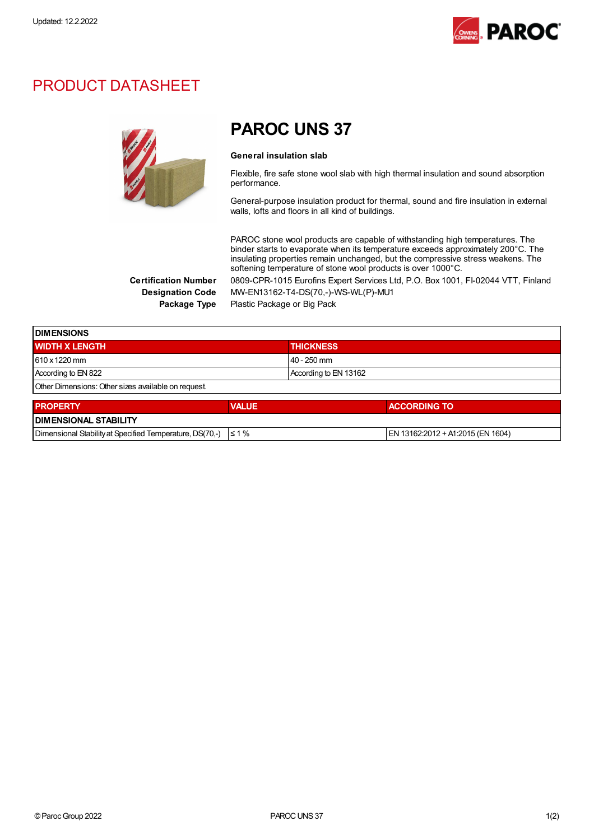

## PRODUCT DATASHEET



## PAROC UNS 37

#### General insulation slab

Flexible, fire safe stone wool slab with high thermal insulation and sound absorption performance.

General-purpose insulation product for thermal, sound and fire insulation in external walls, lofts and floors in all kind of buildings.

PAROC stone wool products are capable of withstanding high temperatures. The binder starts to evaporate when its temperature exceeds approximately 200°C. The insulating properties remain unchanged, but the compressive stress weakens. The softening temperature of stone wool products is over 1000°C.

Certification Number 0809-CPR-1015 Eurofins Expert Services Ltd, P.O. Box 1001, FI-02044 VTT, Finland Designation Code MW-EN13162-T4-DS(70,-)-WS-WL(P)-MU1

Package Type Plastic Package or Big Pack

| <b>DIMENSIONS</b>                                   |                       |  |
|-----------------------------------------------------|-----------------------|--|
| <b>WIDTH X LENGTH</b>                               | <b>THICKNESS</b>      |  |
| 610 x 1220 mm                                       | l 40 - 250 mm         |  |
| According to EN 822                                 | According to EN 13162 |  |
| Other Dimensions: Other sizes available on request. |                       |  |
|                                                     |                       |  |

| <b>PROPERTY</b>                                                     | <b>VALUE</b> | <b>ACCORDING TO</b>               |  |  |
|---------------------------------------------------------------------|--------------|-----------------------------------|--|--|
| <b>I DIMENSIONAL STABILITY</b>                                      |              |                                   |  |  |
| Dimensional Stability at Specified Temperature, DS(70,-) $\leq 1\%$ |              | EN 13162:2012 + A1:2015 (EN 1604) |  |  |